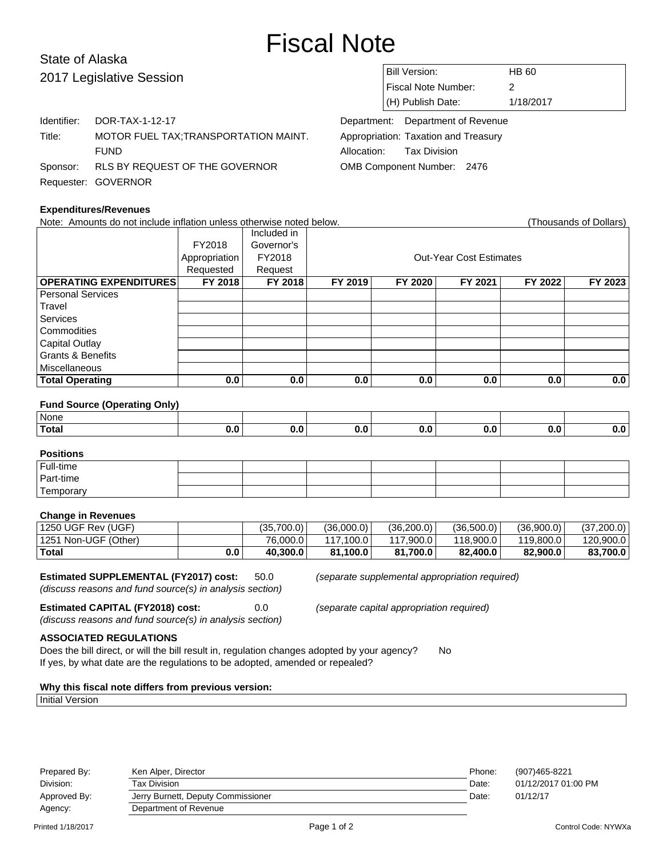# Fiscal Note

# State of Alaska 2017 Legislative Session

| Bill Version:       | HB 60     |
|---------------------|-----------|
| Fiscal Note Number: | 2         |
| $(H)$ Publish Date: | 1/18/2017 |

Department: Department of Revenue Appropriation: Taxation and Treasury Allocation: Tax Division OMB Component Number: 2476

| <b>Expenditures/Revenues</b> |                                         |  |  |  |
|------------------------------|-----------------------------------------|--|--|--|
|                              | Requester: GOVERNOR                     |  |  |  |
|                              | Sponsor: RLS BY REQUEST OF THE GOVERNOR |  |  |  |
|                              | <b>FUND</b>                             |  |  |  |
| Title:                       | MOTOR FUEL TAX; TRANSPORTATION MAINT.   |  |  |  |
|                              | Identifier: DOR-TAX-1-12-17             |  |  |  |

| Note: Amounts do not include inflation unless otherwise noted below. |               |             |         |         |                                |         | (Thousands of Dollars) |
|----------------------------------------------------------------------|---------------|-------------|---------|---------|--------------------------------|---------|------------------------|
|                                                                      |               | Included in |         |         |                                |         |                        |
|                                                                      | FY2018        | Governor's  |         |         |                                |         |                        |
|                                                                      | Appropriation | FY2018      |         |         | <b>Out-Year Cost Estimates</b> |         |                        |
|                                                                      | Requested     | Request     |         |         |                                |         |                        |
| <b>OPERATING EXPENDITURES</b>                                        | FY 2018       | FY 2018     | FY 2019 | FY 2020 | FY 2021                        | FY 2022 | FY 2023                |
| <b>Personal Services</b>                                             |               |             |         |         |                                |         |                        |
| Travel                                                               |               |             |         |         |                                |         |                        |
| Services                                                             |               |             |         |         |                                |         |                        |
| Commodities                                                          |               |             |         |         |                                |         |                        |
| Capital Outlay                                                       |               |             |         |         |                                |         |                        |
| <b>Grants &amp; Benefits</b>                                         |               |             |         |         |                                |         |                        |
| <b>Miscellaneous</b>                                                 |               |             |         |         |                                |         |                        |
| <b>Total Operating</b>                                               | 0.0           | 0.0         | 0.0     | 0.0     | 0.0                            | 0.0     | 0.0                    |
|                                                                      |               |             |         |         |                                |         |                        |
| <b>Fund Source (Operating Only)</b>                                  |               |             |         |         |                                |         |                        |
|                                                                      |               |             |         |         |                                |         |                        |

# None **Total 0.0 0.0 0.0 0.0 0.0 0.0 0.0**

| <b>Positions</b> |  |  |  |  |
|------------------|--|--|--|--|
| Full-time        |  |  |  |  |
| Part-time        |  |  |  |  |
| Temporary        |  |  |  |  |

# **Change in Revenues**

| 1250 UGF Rev (UGF)   |     | (35.700.0) | (36.000.0) | (36.200.0) | (36.500.0) | (36.900.0) | (37,200.0) |
|----------------------|-----|------------|------------|------------|------------|------------|------------|
| 1251 Non-UGF (Other) |     | 76,000.0   | 117.100.0  | 0.900.0    | 118.900.0  | 119,800.0  | 120,900.0  |
| $ $ Total            | 0.0 | 40.300.0   | 81.100.0   | 81.700.0   | 82,400.0   | 82,900.0   | 83,700.0   |

# **Estimated SUPPLEMENTAL (FY2017) cost:** 50.0 (separate supplemental appropriation required)

(discuss reasons and fund source(s) in analysis section)

**Estimated CAPITAL (FY2018) cost:** 0.0 (separate capital appropriation required) (discuss reasons and fund source(s) in analysis section)

# **ASSOCIATED REGULATIONS**

Does the bill direct, or will the bill result in, regulation changes adopted by your agency? No If yes, by what date are the regulations to be adopted, amended or repealed?

# **Why this fiscal note differs from previous version:**

#### Initial Version

| Prepared By: | Ken Alper, Director                | Phone: | (907)465-8221       |
|--------------|------------------------------------|--------|---------------------|
| Division:    | Tax Division                       | Date:  | 01/12/2017 01:00 PM |
| Approved By: | Jerry Burnett, Deputy Commissioner | Date:  | 01/12/17            |
| Agency:      | Department of Revenue              |        |                     |